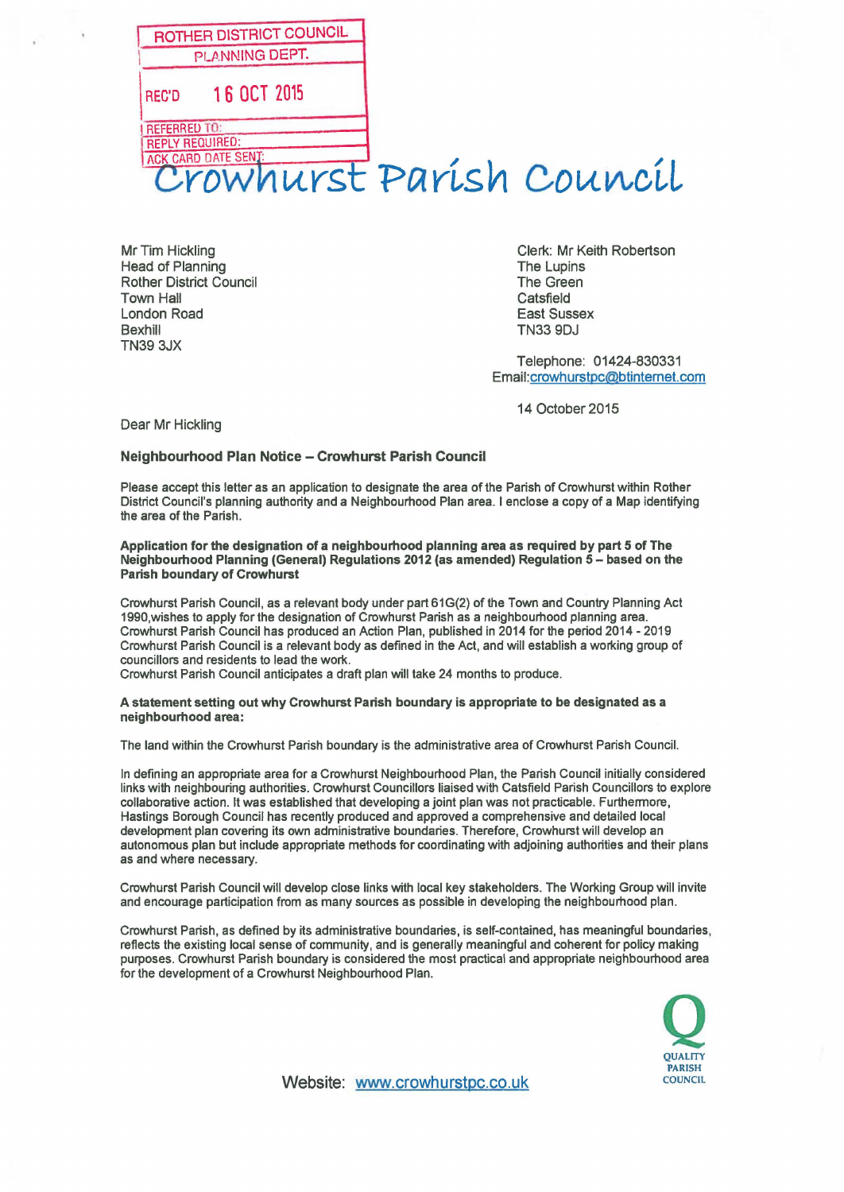| ROTHER DISTRICT COUNCIL<br>PLANNING DEPT.              |  |
|--------------------------------------------------------|--|
| 16 OCT 2015<br><b>REC'D</b>                            |  |
| <b>REFERRED TO:</b><br><b>REPLY REQUIRED:</b>          |  |
| <b>ACK CARD DATE SENT:</b><br>Crowhurst Parish Council |  |

Head of Planning<br>
Rother District Council<br>
Rother District Council Rother District Council Town Hall **Town Hall** London Road East Sussex Bexhill TN33 9DJ TN39 3JX

Mr Tim Hickling Clerk: Mr Keith Robertson

Telephone: 01424-830331 Email:crowhurstpc@btintemet.com

14 October 2015

Dear Mr Hickling

## **Neighbourhood Plan Notice - Crowhurst Parish Council**

Please accept this letter as an application to designate the area of the Parish of Crowhurst within Rother District Council's planning authority and a Neighbourhood Plan area. I enclose a copy of a Map identifying the area of the Parish.

**Application for the designation of a neighbourhood planning area as required by part 5 of The Neighbourhood Planning (General) Regulations 2012 (as amended) Regulation 5- based on the Parish boundary of Crowhurst** 

Crowhurst Parish Council, as a relevant body under part 61G(2) of the Town and Country Planning Act 1990,wishes to apply for the designation of Crowhurst Parish as a neighbourhood planning area. Crowhurst Parish Council has produced an Action Plan, published in 2014 for the period 2014 - 2019 Crowhurst Parish Council is a relevant body as defined in the Act, and will establish a working group of councillors and residents to lead the work.

Crowhurst Parish Council anticipates a draft plan will take 24 months to produce.

## **A statement setting out why Crowhurst Parish boundary is appropriate to be designated as a neighbourhood area:**

The land within the Crowhurst Parish boundary is the administrative area of Crowhurst Parish Council.

In defining an appropriate area for a Crowhurst Neighbourhood Plan, the Parish Council initially considered links with neighbouring authorities. Crowhurst Councillors liaised with Catsfield Parish Councillors to explore collaborative action. It was established that developing a joint plan was not practicable. Furthermore, Hastings Borough Council has recently produced and approved a comprehensive and detailed local development plan covering its own administrative boundaries. Therefore, Crowhurst will develop an autonomous plan but include appropriate methods for coordinating with adjoining authorities and their plans as and where necessary.

Crowhurst Parish Council will develop close links with local key stakeholders. The Working Group will invite and encourage participation from as many sources as possible in developing the neighbourhood plan.

Crowhurst Parish, as defined by its administrative boundaries, is self-contained, has meaningful boundaries, reflects the existing local sense of community, and is generally meaningful and coherent for policy making purposes. Crowhurst Parish boundary is considered the most practical and appropriate neighbourhood area for the development of a Crowhurst Neighbourhood Plan.



Website: <www.crowhurstpc.co.uk>